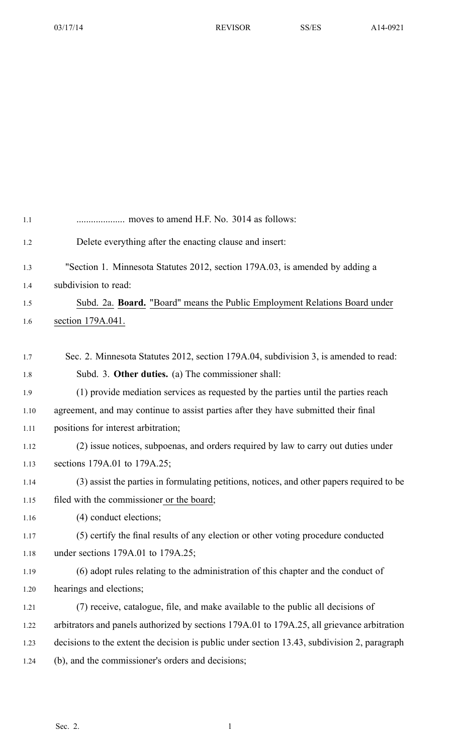| 1.1  | moves to amend H.F. No. 3014 as follows:                                                     |
|------|----------------------------------------------------------------------------------------------|
| 1.2  | Delete everything after the enacting clause and insert:                                      |
| 1.3  | "Section 1. Minnesota Statutes 2012, section 179A.03, is amended by adding a                 |
| 1.4  | subdivision to read:                                                                         |
| 1.5  | Subd. 2a. Board. "Board" means the Public Employment Relations Board under                   |
| 1.6  | section 179A.041.                                                                            |
|      |                                                                                              |
| 1.7  | Sec. 2. Minnesota Statutes 2012, section 179A.04, subdivision 3, is amended to read:         |
| 1.8  | Subd. 3. Other duties. (a) The commissioner shall:                                           |
| 1.9  | (1) provide mediation services as requested by the parties until the parties reach           |
| 1.10 | agreement, and may continue to assist parties after they have submitted their final          |
| 1.11 | positions for interest arbitration;                                                          |
| 1.12 | (2) issue notices, subpoenas, and orders required by law to carry out duties under           |
| 1.13 | sections 179A.01 to 179A.25;                                                                 |
| 1.14 | (3) assist the parties in formulating petitions, notices, and other papers required to be    |
| 1.15 | filed with the commissioner or the board;                                                    |
| 1.16 | (4) conduct elections;                                                                       |
| 1.17 | (5) certify the final results of any election or other voting procedure conducted            |
| 1.18 | under sections $179A.01$ to $179A.25$ ;                                                      |
| 1.19 | (6) adopt rules relating to the administration of this chapter and the conduct of            |
| 1.20 | hearings and elections;                                                                      |
| 1.21 | (7) receive, catalogue, file, and make available to the public all decisions of              |
| 1.22 | arbitrators and panels authorized by sections 179A.01 to 179A.25, all grievance arbitration  |
| 1.23 | decisions to the extent the decision is public under section 13.43, subdivision 2, paragraph |
| 1.24 | (b), and the commissioner's orders and decisions;                                            |
|      |                                                                                              |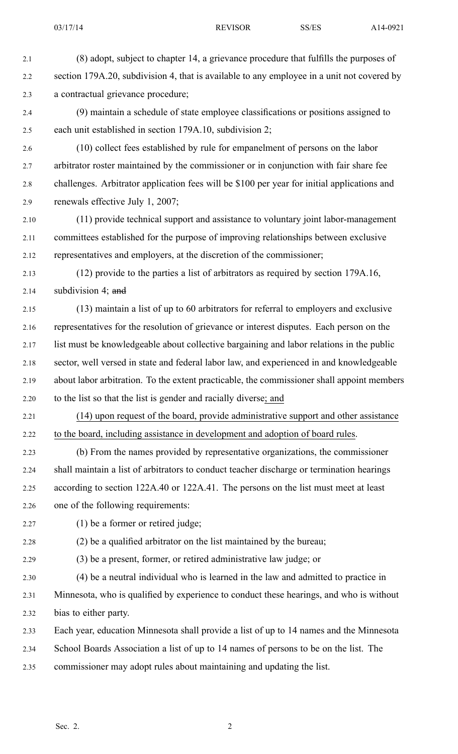- 2.1 (8) adopt, subject to chapter 14, <sup>a</sup> grievance procedure that fulfills the purposes of 2.2 section 179A.20, subdivision 4, that is available to any employee in a unit not covered by 2.3 <sup>a</sup> contractual grievance procedure; 2.4 (9) maintain <sup>a</sup> schedule of state employee classifications or positions assigned to 2.5 each unit established in section 179A.10, subdivision 2; 2.6 (10) collect fees established by rule for empanelment of persons on the labor 2.7 arbitrator roster maintained by the commissioner or in conjunction with fair share fee 2.8 challenges. Arbitrator application fees will be \$100 per year for initial applications and 2.9 renewals effective July 1, 2007; 2.10 (11) provide technical suppor<sup>t</sup> and assistance to voluntary joint labor-management 2.11 committees established for the purpose of improving relationships between exclusive 2.12 representatives and employers, at the discretion of the commissioner; 2.13 (12) provide to the parties <sup>a</sup> list of arbitrators as required by section 179A.16, 2.14 subdivision 4; and 2.15 (13) maintain <sup>a</sup> list of up to 60 arbitrators for referral to employers and exclusive 2.16 representatives for the resolution of grievance or interest disputes. Each person on the 2.17 list must be knowledgeable about collective bargaining and labor relations in the public 2.18 sector, well versed in state and federal labor law, and experienced in and knowledgeable 2.19 about labor arbitration. To the extent practicable, the commissioner shall appoint members 2.20 to the list so that the list is gender and racially diverse; and 2.21 (14) upon reques<sup>t</sup> of the board, provide administrative suppor<sup>t</sup> and other assistance 2.22 to the board, including assistance in development and adoption of board rules. 2.23 (b) From the names provided by representative organizations, the commissioner 2.24 shall maintain <sup>a</sup> list of arbitrators to conduct teacher discharge or termination hearings 2.25 according to section 122A.40 or 122A.41. The persons on the list must meet at least 2.26 one of the following requirements: 2.27 (1) be <sup>a</sup> former or retired judge; 2.28 (2) be <sup>a</sup> qualified arbitrator on the list maintained by the bureau; 2.29 (3) be <sup>a</sup> present, former, or retired administrative law judge; or 2.30 (4) be <sup>a</sup> neutral individual who is learned in the law and admitted to practice in 2.31 Minnesota, who is qualified by experience to conduct these hearings, and who is without 2.32 bias to either party. 2.33 Each year, education Minnesota shall provide <sup>a</sup> list of up to 14 names and the Minnesota 2.34 School Boards Association <sup>a</sup> list of up to 14 names of persons to be on the list. The
- 2.35 commissioner may adopt rules about maintaining and updating the list.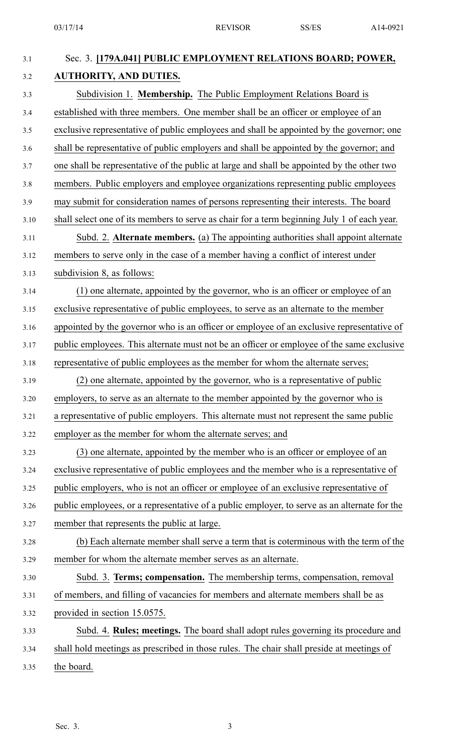| 3.1   | Sec. 3. [179A.041] PUBLIC EMPLOYMENT RELATIONS BOARD; POWER,                                 |
|-------|----------------------------------------------------------------------------------------------|
| $3.2$ | <b>AUTHORITY, AND DUTIES.</b>                                                                |
| 3.3   | Subdivision 1. Membership. The Public Employment Relations Board is                          |
| 3.4   | established with three members. One member shall be an officer or employee of an             |
| 3.5   | exclusive representative of public employees and shall be appointed by the governor; one     |
| 3.6   | shall be representative of public employers and shall be appointed by the governor; and      |
| 3.7   | one shall be representative of the public at large and shall be appointed by the other two   |
| 3.8   | members. Public employers and employee organizations representing public employees           |
| 3.9   | may submit for consideration names of persons representing their interests. The board        |
| 3.10  | shall select one of its members to serve as chair for a term beginning July 1 of each year.  |
| 3.11  | Subd. 2. Alternate members. (a) The appointing authorities shall appoint alternate           |
| 3.12  | members to serve only in the case of a member having a conflict of interest under            |
| 3.13  | subdivision 8, as follows:                                                                   |
| 3.14  | (1) one alternate, appointed by the governor, who is an officer or employee of an            |
| 3.15  | exclusive representative of public employees, to serve as an alternate to the member         |
| 3.16  | appointed by the governor who is an officer or employee of an exclusive representative of    |
| 3.17  | public employees. This alternate must not be an officer or employee of the same exclusive    |
| 3.18  | representative of public employees as the member for whom the alternate serves;              |
| 3.19  | (2) one alternate, appointed by the governor, who is a representative of public              |
| 3.20  | employers, to serve as an alternate to the member appointed by the governor who is           |
| 3.21  | a representative of public employers. This alternate must not represent the same public      |
| 3.22  | employer as the member for whom the alternate serves; and                                    |
| 3.23  | (3) one alternate, appointed by the member who is an officer or employee of an               |
| 3.24  | exclusive representative of public employees and the member who is a representative of       |
| 3.25  | public employers, who is not an officer or employee of an exclusive representative of        |
| 3.26  | public employees, or a representative of a public employer, to serve as an alternate for the |
| 3.27  | member that represents the public at large.                                                  |
| 3.28  | (b) Each alternate member shall serve a term that is coterminous with the term of the        |
| 3.29  | member for whom the alternate member serves as an alternate.                                 |
| 3.30  | Subd. 3. Terms; compensation. The membership terms, compensation, removal                    |
| 3.31  | of members, and filling of vacancies for members and alternate members shall be as           |
| 3.32  | provided in section 15.0575.                                                                 |
| 3.33  | Subd. 4. Rules; meetings. The board shall adopt rules governing its procedure and            |
| 3.34  | shall hold meetings as prescribed in those rules. The chair shall preside at meetings of     |
| 3.35  | the board.                                                                                   |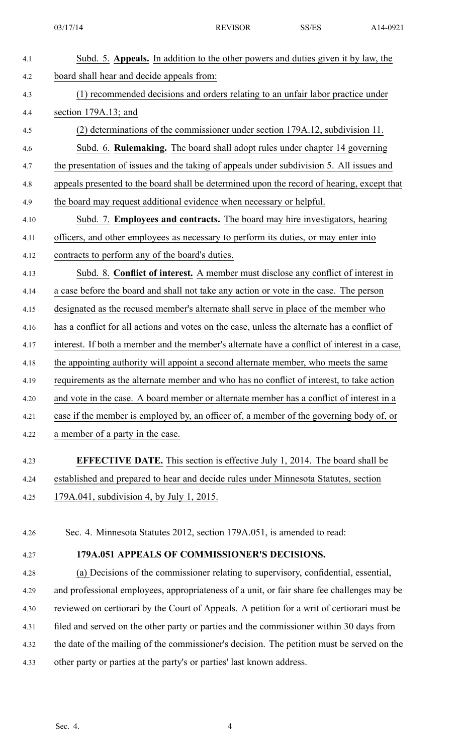| 4.1  | Subd. 5. Appeals. In addition to the other powers and duties given it by law, the            |
|------|----------------------------------------------------------------------------------------------|
| 4.2  | board shall hear and decide appeals from:                                                    |
| 4.3  | (1) recommended decisions and orders relating to an unfair labor practice under              |
| 4.4  | section 179A.13; and                                                                         |
| 4.5  | (2) determinations of the commissioner under section 179A.12, subdivision 11.                |
| 4.6  | Subd. 6. Rulemaking. The board shall adopt rules under chapter 14 governing                  |
| 4.7  | the presentation of issues and the taking of appeals under subdivision 5. All issues and     |
| 4.8  | appeals presented to the board shall be determined upon the record of hearing, except that   |
| 4.9  | the board may request additional evidence when necessary or helpful.                         |
| 4.10 | Subd. 7. Employees and contracts. The board may hire investigators, hearing                  |
| 4.11 | officers, and other employees as necessary to perform its duties, or may enter into          |
| 4.12 | contracts to perform any of the board's duties.                                              |
| 4.13 | Subd. 8. Conflict of interest. A member must disclose any conflict of interest in            |
| 4.14 | a case before the board and shall not take any action or vote in the case. The person        |
| 4.15 | designated as the recused member's alternate shall serve in place of the member who          |
| 4.16 | has a conflict for all actions and votes on the case, unless the alternate has a conflict of |
| 4.17 | interest. If both a member and the member's alternate have a conflict of interest in a case, |
| 4.18 | the appointing authority will appoint a second alternate member, who meets the same          |
| 4.19 | requirements as the alternate member and who has no conflict of interest, to take action     |
| 4.20 | and vote in the case. A board member or alternate member has a conflict of interest in a     |
| 4.21 | case if the member is employed by, an officer of, a member of the governing body of, or      |
| 4.22 | a member of a party in the case.                                                             |
| 4.23 | <b>EFFECTIVE DATE.</b> This section is effective July 1, 2014. The board shall be            |
| 4.24 | established and prepared to hear and decide rules under Minnesota Statutes, section          |
| 4.25 | 179A.041, subdivision 4, by July 1, 2015.                                                    |
|      |                                                                                              |
| 4.26 | Sec. 4. Minnesota Statutes 2012, section 179A.051, is amended to read:                       |
| 4.27 | 179A.051 APPEALS OF COMMISSIONER'S DECISIONS.                                                |
| 4.28 | (a) Decisions of the commissioner relating to supervisory, confidential, essential,          |
| 4.29 | and professional employees, appropriateness of a unit, or fair share fee challenges may be   |
| 4.30 | reviewed on certiorari by the Court of Appeals. A petition for a writ of certiorari must be  |
| 4.31 | filed and served on the other party or parties and the commissioner within 30 days from      |
| 4.32 | the date of the mailing of the commissioner's decision. The petition must be served on the   |

4.33 other party or parties at the party's or parties' last known address.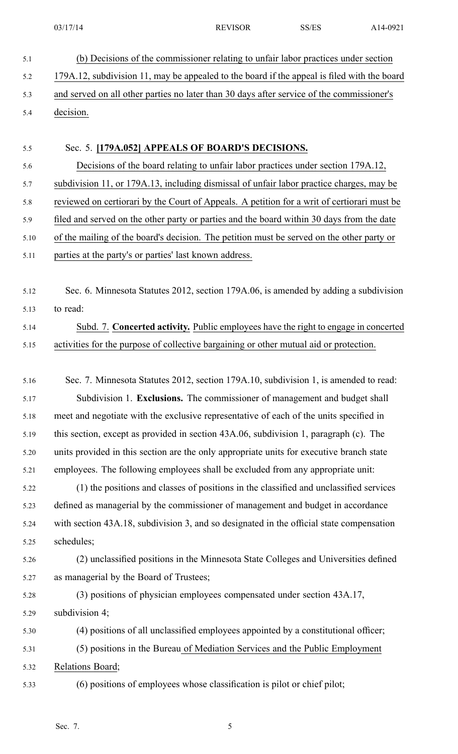- 5.1 (b) Decisions of the commissioner relating to unfair labor practices under section 5.2 179A.12, subdivision 11, may be appealed to the board if the appeal is filed with the board 5.3 and served on all other parties no later than 30 days after service of the commissioner's 5.4 decision. 5.5 Sec. 5. **[179A.052] APPEALS OF BOARD'S DECISIONS.** 5.6 Decisions of the board relating to unfair labor practices under section 179A.12, 5.7 subdivision 11, or 179A.13, including dismissal of unfair labor practice charges, may be 5.8 reviewed on certiorari by the Court of Appeals. A petition for <sup>a</sup> writ of certiorari must be 5.9 filed and served on the other party or parties and the board within 30 days from the date 5.10 of the mailing of the board's decision. The petition must be served on the other party or 5.11 parties at the party's or parties' last known address.
- 5.12 Sec. 6. Minnesota Statutes 2012, section 179A.06, is amended by adding <sup>a</sup> subdivision 5.13 to read:

## 5.14 Subd. 7. **Concerted activity.** Public employees have the right to engage in concerted 5.15 activities for the purpose of collective bargaining or other mutual aid or protection.

- 5.16 Sec. 7. Minnesota Statutes 2012, section 179A.10, subdivision 1, is amended to read: 5.17 Subdivision 1. **Exclusions.** The commissioner of managemen<sup>t</sup> and budget shall 5.18 meet and negotiate with the exclusive representative of each of the units specified in 5.19 this section, excep<sup>t</sup> as provided in section 43A.06, subdivision 1, paragraph (c). The 5.20 units provided in this section are the only appropriate units for executive branch state 5.21 employees. The following employees shall be excluded from any appropriate unit: 5.22 (1) the positions and classes of positions in the classified and unclassified services 5.23 defined as managerial by the commissioner of managemen<sup>t</sup> and budget in accordance 5.24 with section 43A.18, subdivision 3, and so designated in the official state compensation 5.25 schedules; 5.26 (2) unclassified positions in the Minnesota State Colleges and Universities defined 5.27 as managerial by the Board of Trustees; 5.28 (3) positions of physician employees compensated under section 43A.17, 5.29 subdivision 4;
- 5.30 (4) positions of all unclassified employees appointed by <sup>a</sup> constitutional officer; 5.31 (5) positions in the Bureau of Mediation Services and the Public Employment 5.32 Relations Board;
- 5.33 (6) positions of employees whose classification is pilot or chief pilot;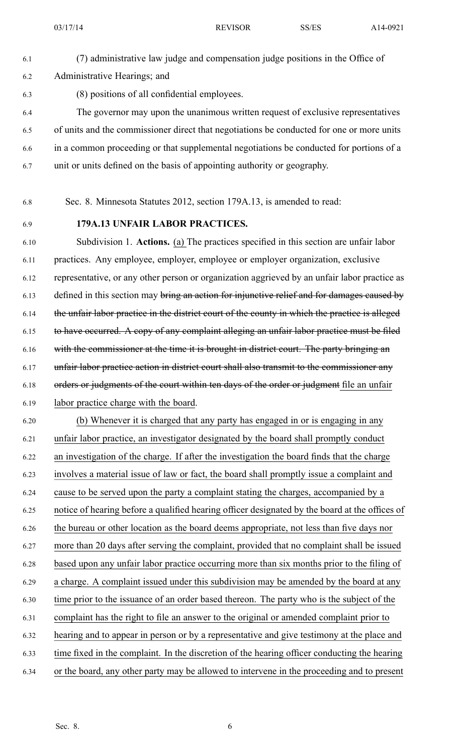- 6.1 (7) administrative law judge and compensation judge positions in the Office of 6.2 Administrative Hearings; and 6.3 (8) positions of all confidential employees. 6.4 The governor may upon the unanimous written reques<sup>t</sup> of exclusive representatives 6.5 of units and the commissioner direct that negotiations be conducted for one or more units
- 6.6 in <sup>a</sup> common proceeding or that supplemental negotiations be conducted for portions of <sup>a</sup>
- 6.7 unit or units defined on the basis of appointing authority or geography.
- 6.8 Sec. 8. Minnesota Statutes 2012, section 179A.13, is amended to read:
- 

## 6.9 **179A.13 UNFAIR LABOR PRACTICES.**

6.10 Subdivision 1. **Actions.** (a) The practices specified in this section are unfair labor 6.11 practices. Any employee, employer, employee or employer organization, exclusive 6.12 representative, or any other person or organization aggrieved by an unfair labor practice as 6.13 defined in this section may bring an action for injunctive relief and for damages caused by 6.14 the unfair labor practice in the district court of the county in which the practice is alleged 6.15 to have occurred. A copy of any complaint alleging an unfair labor practice must be filed 6.16 with the commissioner at the time it is brought in district court. The party bringing an 6.17 unfair labor practice action in district court shall also transmit to the commissioner any 6.18 orders or judgments of the court within ten days of the order or judgment file an unfair 6.19 labor practice charge with the board.

6.20 (b) Whenever it is charged that any party has engaged in or is engaging in any 6.21 unfair labor practice, an investigator designated by the board shall promptly conduct 6.22 an investigation of the charge. If after the investigation the board finds that the charge 6.23 involves <sup>a</sup> material issue of law or fact, the board shall promptly issue <sup>a</sup> complaint and 6.24 cause to be served upon the party <sup>a</sup> complaint stating the charges, accompanied by <sup>a</sup> 6.25 notice of hearing before <sup>a</sup> qualified hearing officer designated by the board at the offices of 6.26 the bureau or other location as the board deems appropriate, not less than five days nor 6.27 more than 20 days after serving the complaint, provided that no complaint shall be issued 6.28 based upon any unfair labor practice occurring more than six months prior to the filing of 6.29 <sup>a</sup> charge. A complaint issued under this subdivision may be amended by the board at any 6.30 time prior to the issuance of an order based thereon. The party who is the subject of the 6.31 complaint has the right to file an answer to the original or amended complaint prior to 6.32 hearing and to appear in person or by <sup>a</sup> representative and give testimony at the place and 6.33 time fixed in the complaint. In the discretion of the hearing officer conducting the hearing 6.34 or the board, any other party may be allowed to intervene in the proceeding and to presen<sup>t</sup>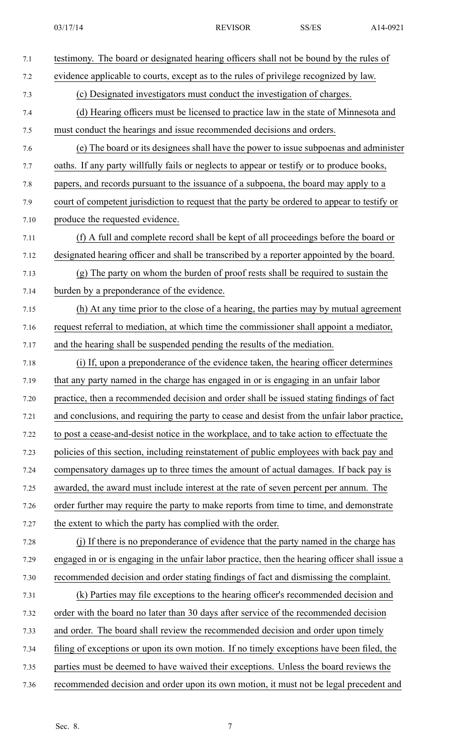| 7.1  | testimony. The board or designated hearing officers shall not be bound by the rules of         |
|------|------------------------------------------------------------------------------------------------|
| 7.2  | evidence applicable to courts, except as to the rules of privilege recognized by law.          |
| 7.3  | (c) Designated investigators must conduct the investigation of charges.                        |
| 7.4  | (d) Hearing officers must be licensed to practice law in the state of Minnesota and            |
| 7.5  | must conduct the hearings and issue recommended decisions and orders.                          |
| 7.6  | (e) The board or its designees shall have the power to issue subpoenas and administer          |
| 7.7  | oaths. If any party willfully fails or neglects to appear or testify or to produce books,      |
| 7.8  | papers, and records pursuant to the issuance of a subpoena, the board may apply to a           |
| 7.9  | court of competent jurisdiction to request that the party be ordered to appear to testify or   |
| 7.10 | produce the requested evidence.                                                                |
| 7.11 | (f) A full and complete record shall be kept of all proceedings before the board or            |
| 7.12 | designated hearing officer and shall be transcribed by a reporter appointed by the board.      |
| 7.13 | (g) The party on whom the burden of proof rests shall be required to sustain the               |
| 7.14 | burden by a preponderance of the evidence.                                                     |
| 7.15 | (h) At any time prior to the close of a hearing, the parties may by mutual agreement           |
| 7.16 | request referral to mediation, at which time the commissioner shall appoint a mediator,        |
| 7.17 | and the hearing shall be suspended pending the results of the mediation.                       |
| 7.18 | (i) If, upon a preponderance of the evidence taken, the hearing officer determines             |
| 7.19 | that any party named in the charge has engaged in or is engaging in an unfair labor            |
| 7.20 | practice, then a recommended decision and order shall be issued stating findings of fact       |
| 7.21 | and conclusions, and requiring the party to cease and desist from the unfair labor practice,   |
| 7.22 | to post a cease-and-desist notice in the workplace, and to take action to effectuate the       |
| 7.23 | policies of this section, including reinstatement of public employees with back pay and        |
| 7.24 | compensatory damages up to three times the amount of actual damages. If back pay is            |
| 7.25 | awarded, the award must include interest at the rate of seven percent per annum. The           |
| 7.26 | order further may require the party to make reports from time to time, and demonstrate         |
| 7.27 | the extent to which the party has complied with the order.                                     |
| 7.28 | (j) If there is no preponderance of evidence that the party named in the charge has            |
| 7.29 | engaged in or is engaging in the unfair labor practice, then the hearing officer shall issue a |
| 7.30 | recommended decision and order stating findings of fact and dismissing the complaint.          |
| 7.31 | (k) Parties may file exceptions to the hearing officer's recommended decision and              |
| 7.32 | order with the board no later than 30 days after service of the recommended decision           |
| 7.33 | and order. The board shall review the recommended decision and order upon timely               |
| 7.34 | filing of exceptions or upon its own motion. If no timely exceptions have been filed, the      |
| 7.35 | parties must be deemed to have waived their exceptions. Unless the board reviews the           |
| 7.36 | recommended decision and order upon its own motion, it must not be legal precedent and         |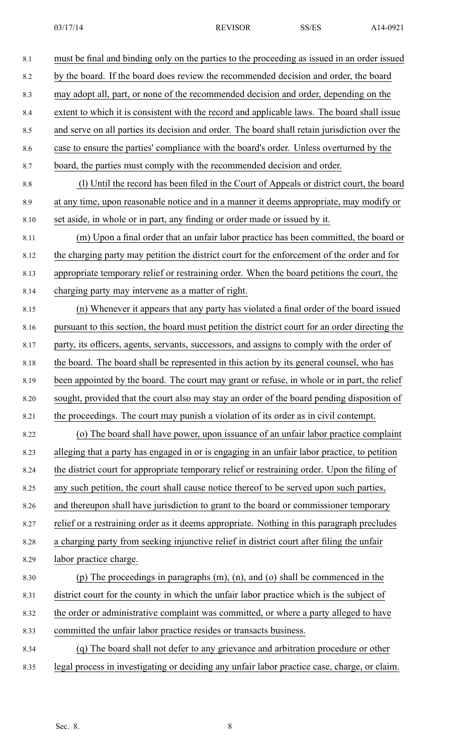| 8.1  | must be final and binding only on the parties to the proceeding as issued in an order issued    |
|------|-------------------------------------------------------------------------------------------------|
| 8.2  | by the board. If the board does review the recommended decision and order, the board            |
| 8.3  | may adopt all, part, or none of the recommended decision and order, depending on the            |
| 8.4  | extent to which it is consistent with the record and applicable laws. The board shall issue     |
| 8.5  | and serve on all parties its decision and order. The board shall retain jurisdiction over the   |
| 8.6  | case to ensure the parties' compliance with the board's order. Unless overturned by the         |
| 8.7  | board, the parties must comply with the recommended decision and order.                         |
| 8.8  | (1) Until the record has been filed in the Court of Appeals or district court, the board        |
| 8.9  | at any time, upon reasonable notice and in a manner it deems appropriate, may modify or         |
| 8.10 | set aside, in whole or in part, any finding or order made or issued by it.                      |
| 8.11 | (m) Upon a final order that an unfair labor practice has been committed, the board or           |
| 8.12 | the charging party may petition the district court for the enforcement of the order and for     |
| 8.13 | appropriate temporary relief or restraining order. When the board petitions the court, the      |
| 8.14 | charging party may intervene as a matter of right.                                              |
| 8.15 | (n) Whenever it appears that any party has violated a final order of the board issued           |
| 8.16 | pursuant to this section, the board must petition the district court for an order directing the |
| 8.17 | party, its officers, agents, servants, successors, and assigns to comply with the order of      |
| 8.18 | the board. The board shall be represented in this action by its general counsel, who has        |
| 8.19 | been appointed by the board. The court may grant or refuse, in whole or in part, the relief     |
| 8.20 | sought, provided that the court also may stay an order of the board pending disposition of      |
| 8.21 | the proceedings. The court may punish a violation of its order as in civil contempt.            |
| 8.22 | (o) The board shall have power, upon issuance of an unfair labor practice complaint             |
| 8.23 | alleging that a party has engaged in or is engaging in an unfair labor practice, to petition    |
| 8.24 | the district court for appropriate temporary relief or restraining order. Upon the filing of    |
| 8.25 | any such petition, the court shall cause notice thereof to be served upon such parties,         |
| 8.26 | and thereupon shall have jurisdiction to grant to the board or commissioner temporary           |
| 8.27 | relief or a restraining order as it deems appropriate. Nothing in this paragraph precludes      |
| 8.28 | a charging party from seeking injunctive relief in district court after filing the unfair       |
| 8.29 | labor practice charge.                                                                          |
| 8.30 | (p) The proceedings in paragraphs $(m)$ , $(n)$ , and $(o)$ shall be commenced in the           |
| 8.31 | district court for the county in which the unfair labor practice which is the subject of        |
| 8.32 | the order or administrative complaint was committed, or where a party alleged to have           |
| 8.33 | committed the unfair labor practice resides or transacts business.                              |
| 8.34 | (q) The board shall not defer to any grievance and arbitration procedure or other               |
| 8.35 | legal process in investigating or deciding any unfair labor practice case, charge, or claim.    |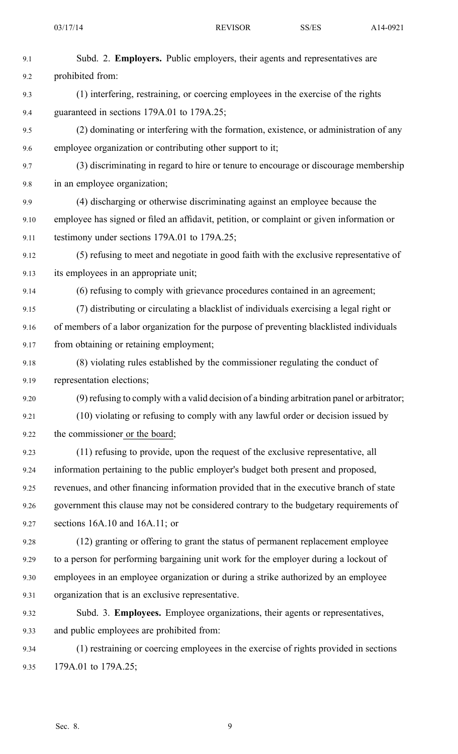| 9.1  | Subd. 2. Employers. Public employers, their agents and representatives are                 |
|------|--------------------------------------------------------------------------------------------|
| 9.2  | prohibited from:                                                                           |
| 9.3  | (1) interfering, restraining, or coercing employees in the exercise of the rights          |
| 9.4  | guaranteed in sections 179A.01 to 179A.25;                                                 |
| 9.5  | (2) dominating or interfering with the formation, existence, or administration of any      |
| 9.6  | employee organization or contributing other support to it;                                 |
| 9.7  | (3) discriminating in regard to hire or tenure to encourage or discourage membership       |
| 9.8  | in an employee organization;                                                               |
| 9.9  | (4) discharging or otherwise discriminating against an employee because the                |
| 9.10 | employee has signed or filed an affidavit, petition, or complaint or given information or  |
| 9.11 | testimony under sections 179A.01 to 179A.25;                                               |
| 9.12 | (5) refusing to meet and negotiate in good faith with the exclusive representative of      |
| 9.13 | its employees in an appropriate unit;                                                      |
| 9.14 | (6) refusing to comply with grievance procedures contained in an agreement;                |
| 9.15 | (7) distributing or circulating a blacklist of individuals exercising a legal right or     |
| 9.16 | of members of a labor organization for the purpose of preventing blacklisted individuals   |
| 9.17 | from obtaining or retaining employment;                                                    |
| 9.18 | (8) violating rules established by the commissioner regulating the conduct of              |
| 9.19 | representation elections;                                                                  |
| 9.20 | (9) refusing to comply with a valid decision of a binding arbitration panel or arbitrator; |
| 9.21 | (10) violating or refusing to comply with any lawful order or decision issued by           |
| 9.22 | the commissioner or the board;                                                             |
| 9.23 | (11) refusing to provide, upon the request of the exclusive representative, all            |
| 9.24 | information pertaining to the public employer's budget both present and proposed,          |
| 9.25 | revenues, and other financing information provided that in the executive branch of state   |
| 9.26 | government this clause may not be considered contrary to the budgetary requirements of     |
| 9.27 | sections $16A.10$ and $16A.11$ ; or                                                        |
| 9.28 | (12) granting or offering to grant the status of permanent replacement employee            |
| 9.29 | to a person for performing bargaining unit work for the employer during a lockout of       |
| 9.30 | employees in an employee organization or during a strike authorized by an employee         |
| 9.31 | organization that is an exclusive representative.                                          |
| 9.32 | Subd. 3. Employees. Employee organizations, their agents or representatives,               |
| 9.33 | and public employees are prohibited from:                                                  |
| 9.34 | (1) restraining or coercing employees in the exercise of rights provided in sections       |
| 9.35 | 179A.01 to 179A.25;                                                                        |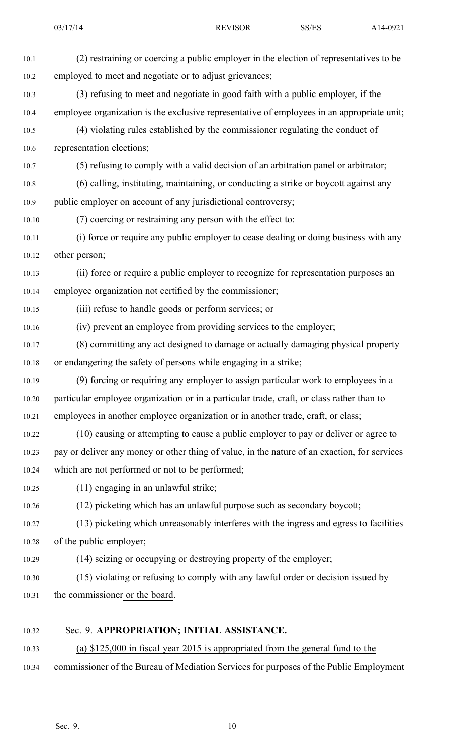| 10.1  | (2) restraining or coercing a public employer in the election of representatives to be       |
|-------|----------------------------------------------------------------------------------------------|
| 10.2  | employed to meet and negotiate or to adjust grievances;                                      |
| 10.3  | (3) refusing to meet and negotiate in good faith with a public employer, if the              |
| 10.4  | employee organization is the exclusive representative of employees in an appropriate unit;   |
| 10.5  | (4) violating rules established by the commissioner regulating the conduct of                |
| 10.6  | representation elections;                                                                    |
| 10.7  | (5) refusing to comply with a valid decision of an arbitration panel or arbitrator;          |
| 10.8  | (6) calling, instituting, maintaining, or conducting a strike or boycott against any         |
| 10.9  | public employer on account of any jurisdictional controversy;                                |
| 10.10 | (7) coercing or restraining any person with the effect to:                                   |
| 10.11 | (i) force or require any public employer to cease dealing or doing business with any         |
| 10.12 | other person;                                                                                |
| 10.13 | (ii) force or require a public employer to recognize for representation purposes an          |
| 10.14 | employee organization not certified by the commissioner;                                     |
| 10.15 | (iii) refuse to handle goods or perform services; or                                         |
| 10.16 | (iv) prevent an employee from providing services to the employer;                            |
| 10.17 | (8) committing any act designed to damage or actually damaging physical property             |
| 10.18 | or endangering the safety of persons while engaging in a strike;                             |
| 10.19 | (9) forcing or requiring any employer to assign particular work to employees in a            |
| 10.20 | particular employee organization or in a particular trade, craft, or class rather than to    |
| 10.21 | employees in another employee organization or in another trade, craft, or class;             |
| 10.22 | (10) causing or attempting to cause a public employer to pay or deliver or agree to          |
| 10.23 | pay or deliver any money or other thing of value, in the nature of an exaction, for services |
| 10.24 | which are not performed or not to be performed;                                              |
| 10.25 | (11) engaging in an unlawful strike;                                                         |
| 10.26 | (12) picketing which has an unlawful purpose such as secondary boycott;                      |
| 10.27 | (13) picketing which unreasonably interferes with the ingress and egress to facilities       |
| 10.28 | of the public employer;                                                                      |
| 10.29 | (14) seizing or occupying or destroying property of the employer;                            |
| 10.30 | (15) violating or refusing to comply with any lawful order or decision issued by             |
| 10.31 | the commissioner or the board.                                                               |
| 10.32 | Sec. 9. APPROPRIATION; INITIAL ASSISTANCE.                                                   |
| 10.33 | (a) $$125,000$ in fiscal year 2015 is appropriated from the general fund to the              |

10.34 commissioner of the Bureau of Mediation Services for purposes of the Public Employment